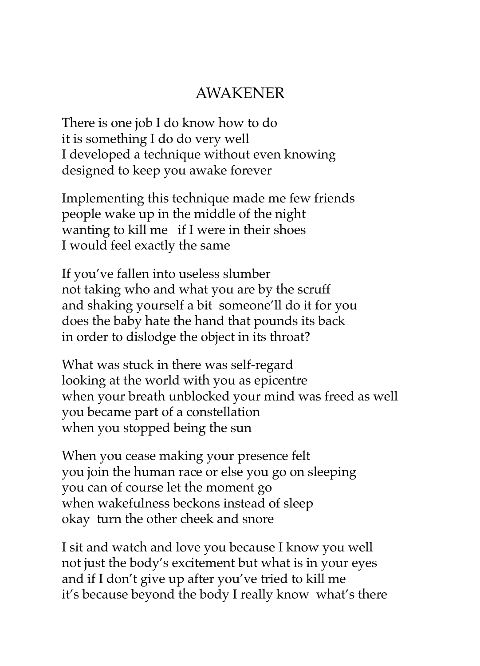## AWAKENER

There is one job I do know how to do it is something I do do very well I developed a technique without even knowing designed to keep you awake forever

Implementing this technique made me few friends people wake up in the middle of the night wanting to kill me if I were in their shoes I would feel exactly the same

If you've fallen into useless slumber not taking who and what you are by the scruff and shaking yourself a bit someone'll do it for you does the baby hate the hand that pounds its back in order to dislodge the object in its throat?

What was stuck in there was self-regard looking at the world with you as epicentre when your breath unblocked your mind was freed as well you became part of a constellation when you stopped being the sun

When you cease making your presence felt you join the human race or else you go on sleeping you can of course let the moment go when wakefulness beckons instead of sleep okay turn the other cheek and snore

I sit and watch and love you because I know you well not just the body's excitement but what is in your eyes and if I don't give up after you've tried to kill me it's because beyond the body I really know what's there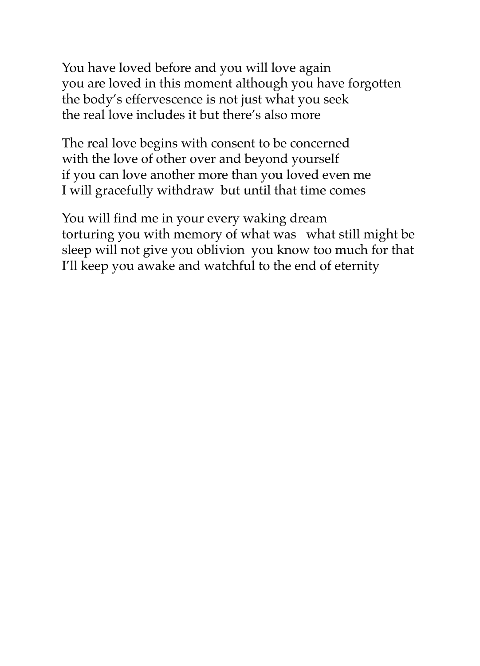You have loved before and you will love again you are loved in this moment although you have forgotten the body's effervescence is not just what you seek the real love includes it but there's also more

The real love begins with consent to be concerned with the love of other over and beyond yourself if you can love another more than you loved even me I will gracefully withdraw but until that time comes

You will find me in your every waking dream torturing you with memory of what was what still might be sleep will not give you oblivion you know too much for that I'll keep you awake and watchful to the end of eternity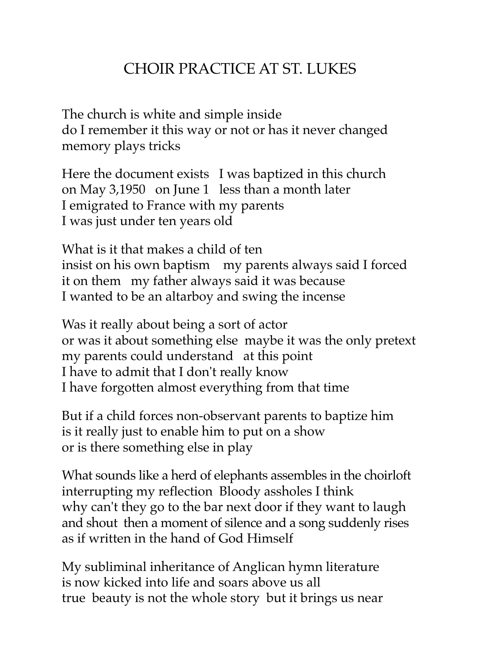## CHOIR PRACTICE AT ST. LUKES

The church is white and simple inside do I remember it this way or not or has it never changed memory plays tricks

Here the document exists I was baptized in this church on May 3,1950 on June 1 less than a month later I emigrated to France with my parents I was just under ten years old

What is it that makes a child of ten insist on his own baptism my parents always said I forced it on them my father always said it was because I wanted to be an altarboy and swing the incense

Was it really about being a sort of actor or was it about something else maybe it was the only pretext my parents could understand at this point I have to admit that I don't really know I have forgotten almost everything from that time

But if a child forces non-observant parents to baptize him is it really just to enable him to put on a show or is there something else in play

What sounds like a herd of elephants assembles in the choirloft interrupting my reflection Bloody assholes I think why can't they go to the bar next door if they want to laugh and shout then a moment of silence and a song suddenly rises as if written in the hand of God Himself

My subliminal inheritance of Anglican hymn literature is now kicked into life and soars above us all true beauty is not the whole story but it brings us near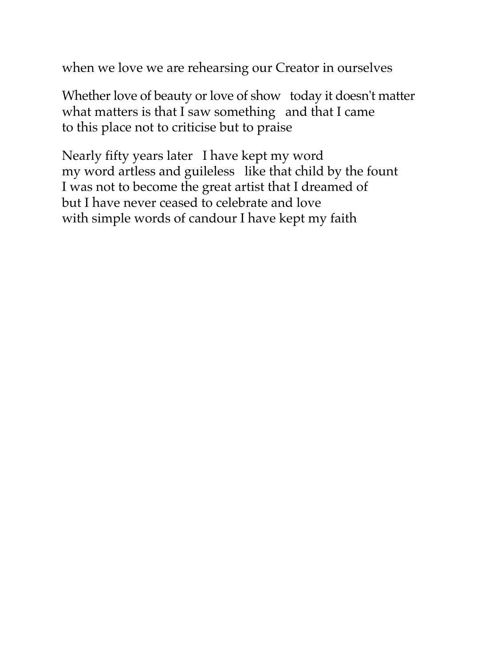when we love we are rehearsing our Creator in ourselves

Whether love of beauty or love of show today it doesn't matter what matters is that I saw something and that I came to this place not to criticise but to praise

Nearly fifty years later I have kept my word my word artless and guileless like that child by the fount I was not to become the great artist that I dreamed of but I have never ceased to celebrate and love with simple words of candour I have kept my faith